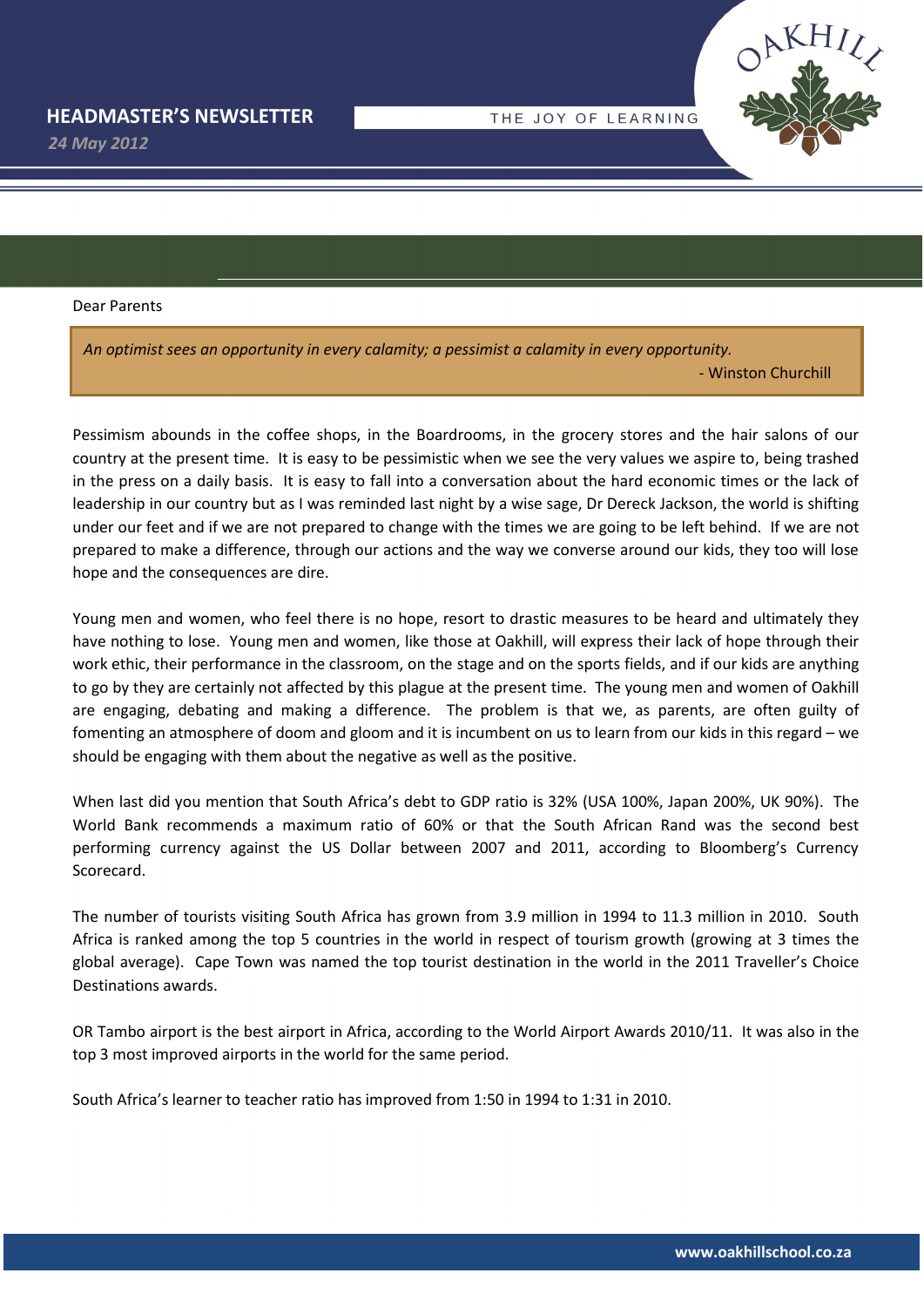THE JOY OF LEARNING

*24 May 2012*

Dear Parents

*An optimist sees an opportunity in every calamity; a pessimist a calamity in every opportunity.* - Winston Churchill

Pessimism abounds in the coffee shops, in the Boardrooms, in the grocery stores and the hair salons of our country at the present time. It is easy to be pessimistic when we see the very values we aspire to, being trashed in the press on a daily basis. It is easy to fall into a conversation about the hard economic times or the lack of leadership in our country but as I was reminded last night by a wise sage, Dr Dereck Jackson, the world is shifting under our feet and if we are not prepared to change with the times we are going to be left behind. If we are not prepared to make a difference, through our actions and the way we converse around our kids, they too will lose hope and the consequences are dire.

Young men and women, who feel there is no hope, resort to drastic measures to be heard and ultimately they have nothing to lose. Young men and women, like those at Oakhill, will express their lack of hope through their work ethic, their performance in the classroom, on the stage and on the sports fields, and if our kids are anything to go by they are certainly not affected by this plague at the present time. The young men and women of Oakhill are engaging, debating and making a difference. The problem is that we, as parents, are often guilty of fomenting an atmosphere of doom and gloom and it is incumbent on us to learn from our kids in this regard – we should be engaging with them about the negative as well as the positive.

When last did you mention that South Africa's debt to GDP ratio is 32% (USA 100%, Japan 200%, UK 90%). The World Bank recommends a maximum ratio of 60% or that the South African Rand was the second best performing currency against the US Dollar between 2007 and 2011, according to Bloomberg's Currency Scorecard.

The number of tourists visiting South Africa has grown from 3.9 million in 1994 to 11.3 million in 2010. South Africa is ranked among the top 5 countries in the world in respect of tourism growth (growing at 3 times the global average). Cape Town was named the top tourist destination in the world in the 2011 Traveller's Choice Destinations awards.

OR Tambo airport is the best airport in Africa, according to the World Airport Awards 2010/11. It was also in the top 3 most improved airports in the world for the same period.

South Africa's learner to teacher ratio has improved from 1:50 in 1994 to 1:31 in 2010.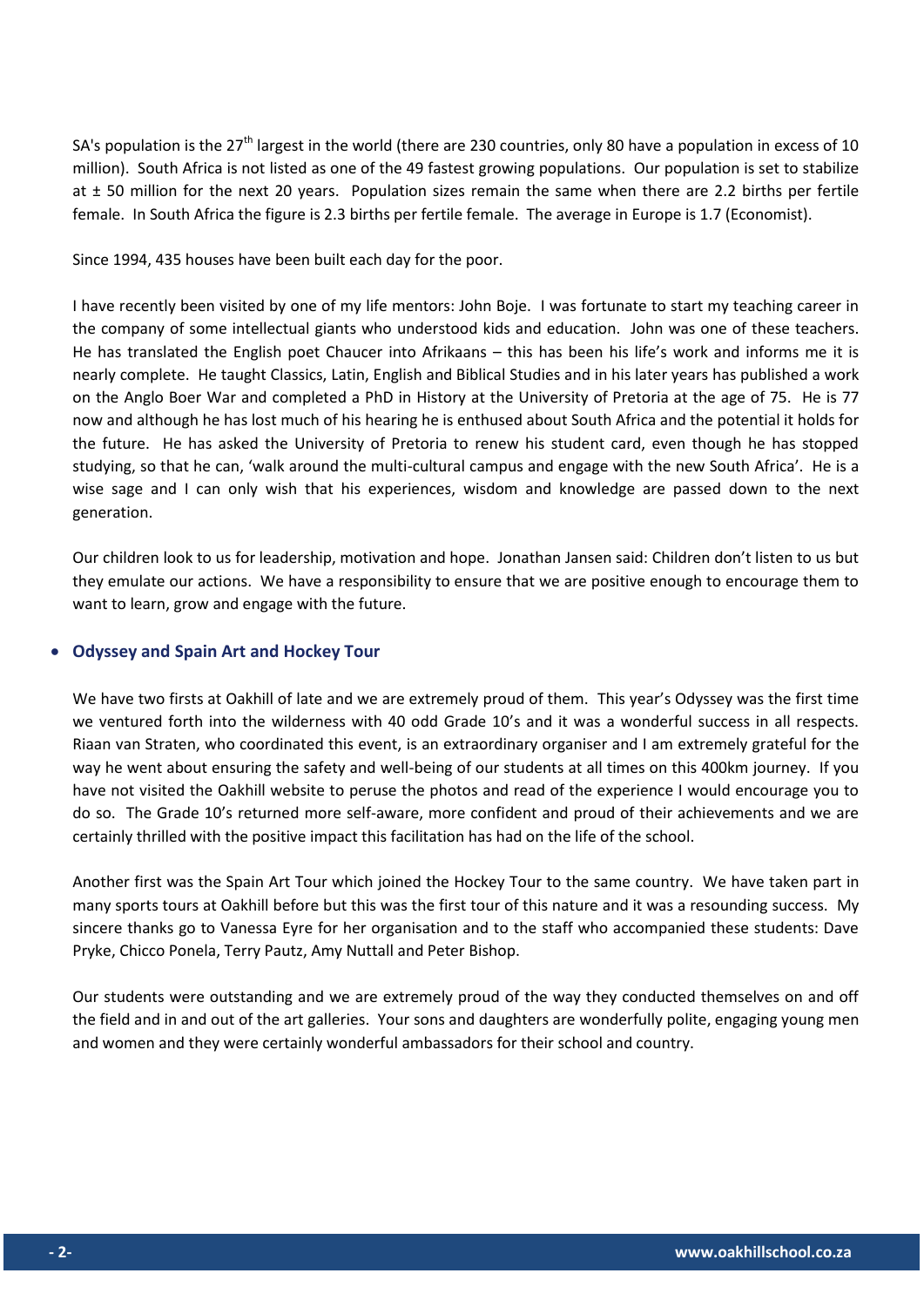SA's population is the  $27<sup>th</sup>$  largest in the world (there are 230 countries, only 80 have a population in excess of 10 million). South Africa is not listed as one of the 49 fastest growing populations. Our population is set to stabilize at ± 50 million for the next 20 years. Population sizes remain the same when there are 2.2 births per fertile female. In South Africa the figure is 2.3 births per fertile female. The average in Europe is 1.7 (Economist).

Since 1994, 435 houses have been built each day for the poor.

I have recently been visited by one of my life mentors: John Boje. I was fortunate to start my teaching career in the company of some intellectual giants who understood kids and education. John was one of these teachers. He has translated the English poet Chaucer into Afrikaans – this has been his life's work and informs me it is nearly complete. He taught Classics, Latin, English and Biblical Studies and in his later years has published a work on the Anglo Boer War and completed a PhD in History at the University of Pretoria at the age of 75. He is 77 now and although he has lost much of his hearing he is enthused about South Africa and the potential it holds for the future. He has asked the University of Pretoria to renew his student card, even though he has stopped studying, so that he can, 'walk around the multi-cultural campus and engage with the new South Africa'. He is a wise sage and I can only wish that his experiences, wisdom and knowledge are passed down to the next generation.

Our children look to us for leadership, motivation and hope. Jonathan Jansen said: Children don't listen to us but they emulate our actions. We have a responsibility to ensure that we are positive enough to encourage them to want to learn, grow and engage with the future.

## **Odyssey and Spain Art and Hockey Tour**

We have two firsts at Oakhill of late and we are extremely proud of them. This year's Odyssey was the first time we ventured forth into the wilderness with 40 odd Grade 10's and it was a wonderful success in all respects. Riaan van Straten, who coordinated this event, is an extraordinary organiser and I am extremely grateful for the way he went about ensuring the safety and well-being of our students at all times on this 400km journey. If you have not visited the Oakhill website to peruse the photos and read of the experience I would encourage you to do so. The Grade 10's returned more self-aware, more confident and proud of their achievements and we are certainly thrilled with the positive impact this facilitation has had on the life of the school.

Another first was the Spain Art Tour which joined the Hockey Tour to the same country. We have taken part in many sports tours at Oakhill before but this was the first tour of this nature and it was a resounding success. My sincere thanks go to Vanessa Eyre for her organisation and to the staff who accompanied these students: Dave Pryke, Chicco Ponela, Terry Pautz, Amy Nuttall and Peter Bishop.

Our students were outstanding and we are extremely proud of the way they conducted themselves on and off the field and in and out of the art galleries. Your sons and daughters are wonderfully polite, engaging young men and women and they were certainly wonderful ambassadors for their school and country.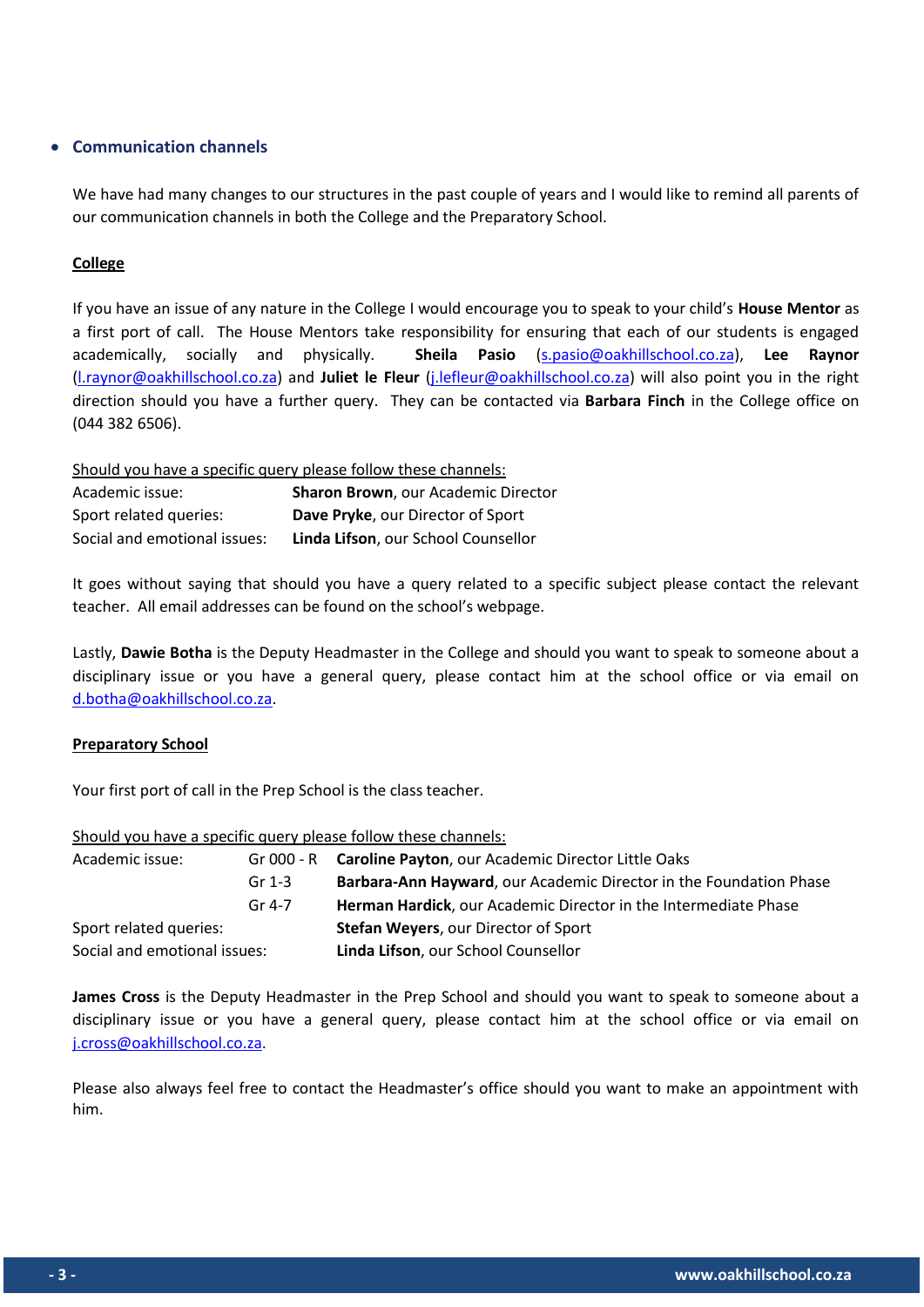# **Communication channels**

We have had many changes to our structures in the past couple of years and I would like to remind all parents of our communication channels in both the College and the Preparatory School.

## **College**

If you have an issue of any nature in the College I would encourage you to speak to your child's **House Mentor** as a first port of call. The House Mentors take responsibility for ensuring that each of our students is engaged academically, socially and physically. **Sheila Pasio** [\(s.pasio@oakhillschool.co.za\)](mailto:s.pasio@oakhillschool.co.za), **Lee Raynor**  [\(l.raynor@oakhillschool.co.za\)](mailto:l.raynor@oakhillschool.co.za) and **Juliet le Fleur** [\(j.lefleur@oakhillschool.co.za\)](mailto:j.lefleur@oakhillschool.co.za) will also point you in the right direction should you have a further query. They can be contacted via **Barbara Finch** in the College office on (044 382 6506).

Should you have a specific query please follow these channels:

| Academic issue:              | Sharon Brown, our Academic Director      |
|------------------------------|------------------------------------------|
| Sport related queries:       | <b>Dave Pryke, our Director of Sport</b> |
| Social and emotional issues: | Linda Lifson, our School Counsellor      |

It goes without saying that should you have a query related to a specific subject please contact the relevant teacher. All email addresses can be found on the school's webpage.

Lastly, **Dawie Botha** is the Deputy Headmaster in the College and should you want to speak to someone about a disciplinary issue or you have a general query, please contact him at the school office or via email on [d.botha@oakhillschool.co.za.](mailto:d.botha@oakhillschool.co.za)

### **Preparatory School**

Your first port of call in the Prep School is the class teacher.

|                              |          | Should you have a specific query please follow these channels:     |
|------------------------------|----------|--------------------------------------------------------------------|
| Academic issue:              |          | Gr 000 - R Caroline Payton, our Academic Director Little Oaks      |
|                              | Gr $1-3$ | Barbara-Ann Hayward, our Academic Director in the Foundation Phase |
|                              | Gr 4-7   | Herman Hardick, our Academic Director in the Intermediate Phase    |
| Sport related queries:       |          | <b>Stefan Weyers, our Director of Sport</b>                        |
| Social and emotional issues: |          | Linda Lifson, our School Counsellor                                |

Should you have a specific query please follow these channels:

**James Cross** is the Deputy Headmaster in the Prep School and should you want to speak to someone about a disciplinary issue or you have a general query, please contact him at the school office or via email on [j.cross@oakhillschool.co.za.](mailto:j.cross@oakhillschool.co.za)

Please also always feel free to contact the Headmaster's office should you want to make an appointment with him.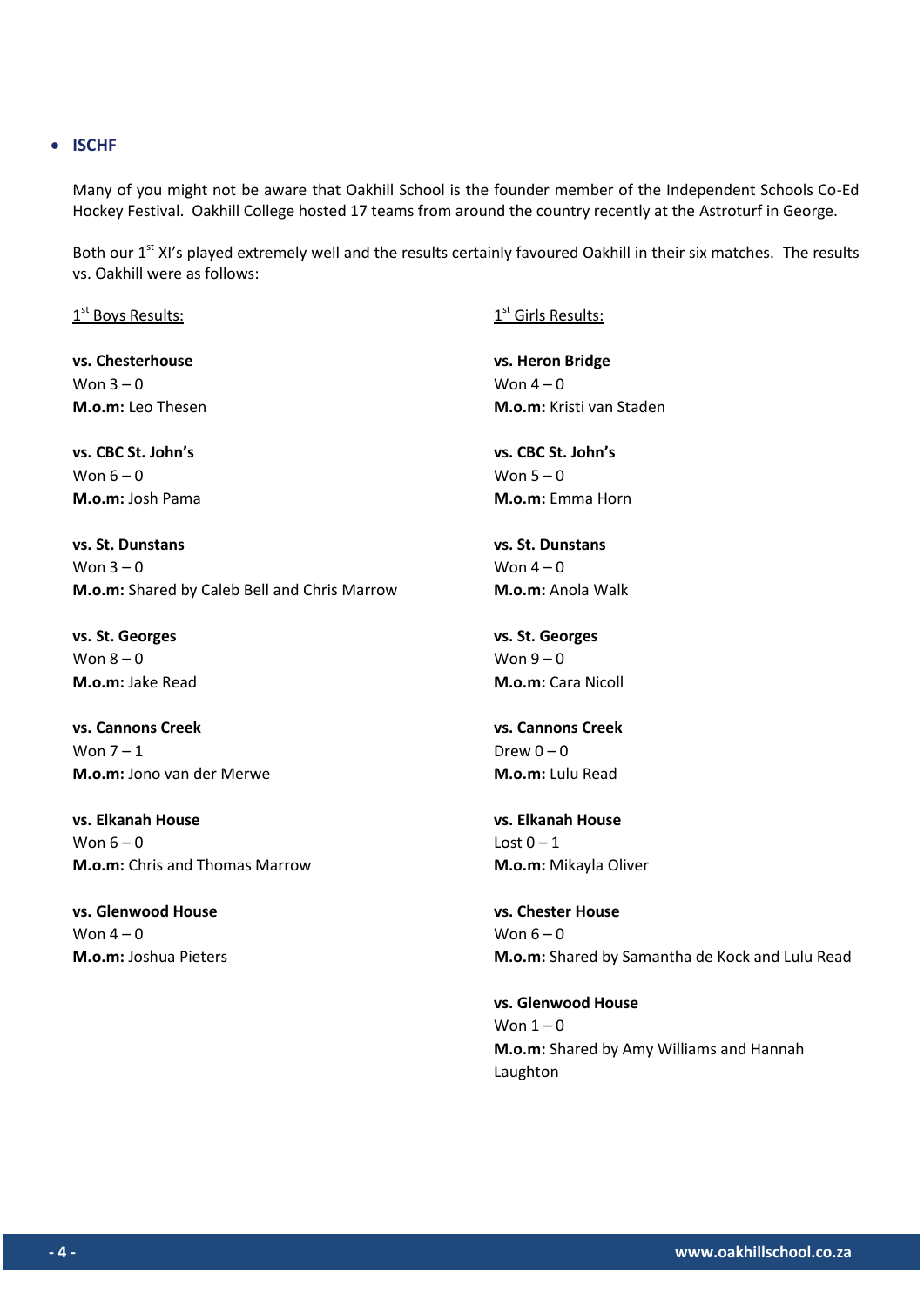### **ISCHF**

Many of you might not be aware that Oakhill School is the founder member of the Independent Schools Co-Ed Hockey Festival. Oakhill College hosted 17 teams from around the country recently at the Astroturf in George.

Both our 1<sup>st</sup> XI's played extremely well and the results certainly favoured Oakhill in their six matches. The results vs. Oakhill were as follows:

 $1^{\text{st}}$  Boys Results:

**vs. Chesterhouse** Won  $3 - 0$ **M.o.m:** Leo Thesen

**vs. CBC St. John's** Won  $6 - 0$ **M.o.m:** Josh Pama

**vs. St. Dunstans** Won  $3 - 0$ **M.o.m:** Shared by Caleb Bell and Chris Marrow

**vs. St. Georges** Won  $8 - 0$ **M.o.m:** Jake Read

**vs. Cannons Creek** Won  $7 - 1$ **M.o.m:** Jono van der Merwe

**vs. Elkanah House** Won  $6 - 0$ **M.o.m:** Chris and Thomas Marrow

**vs. Glenwood House** Won  $4 - 0$ **M.o.m:** Joshua Pieters  $1^{\text{st}}$  Girls Results:

**vs. Heron Bridge** Won  $4 - 0$ **M.o.m:** Kristi van Staden

**vs. CBC St. John's** Won  $5 - 0$ **M.o.m:** Emma Horn

**vs. St. Dunstans** Won  $4 - 0$ **M.o.m:** Anola Walk

**vs. St. Georges** Won  $9 - 0$ **M.o.m:** Cara Nicoll

**vs. Cannons Creek** Drew  $0 - 0$ **M.o.m:** Lulu Read

**vs. Elkanah House** Lost  $0 - 1$ **M.o.m:** Mikayla Oliver

**vs. Chester House** Won  $6 - 0$ **M.o.m:** Shared by Samantha de Kock and Lulu Read

**vs. Glenwood House** Won  $1 - 0$ **M.o.m:** Shared by Amy Williams and Hannah Laughton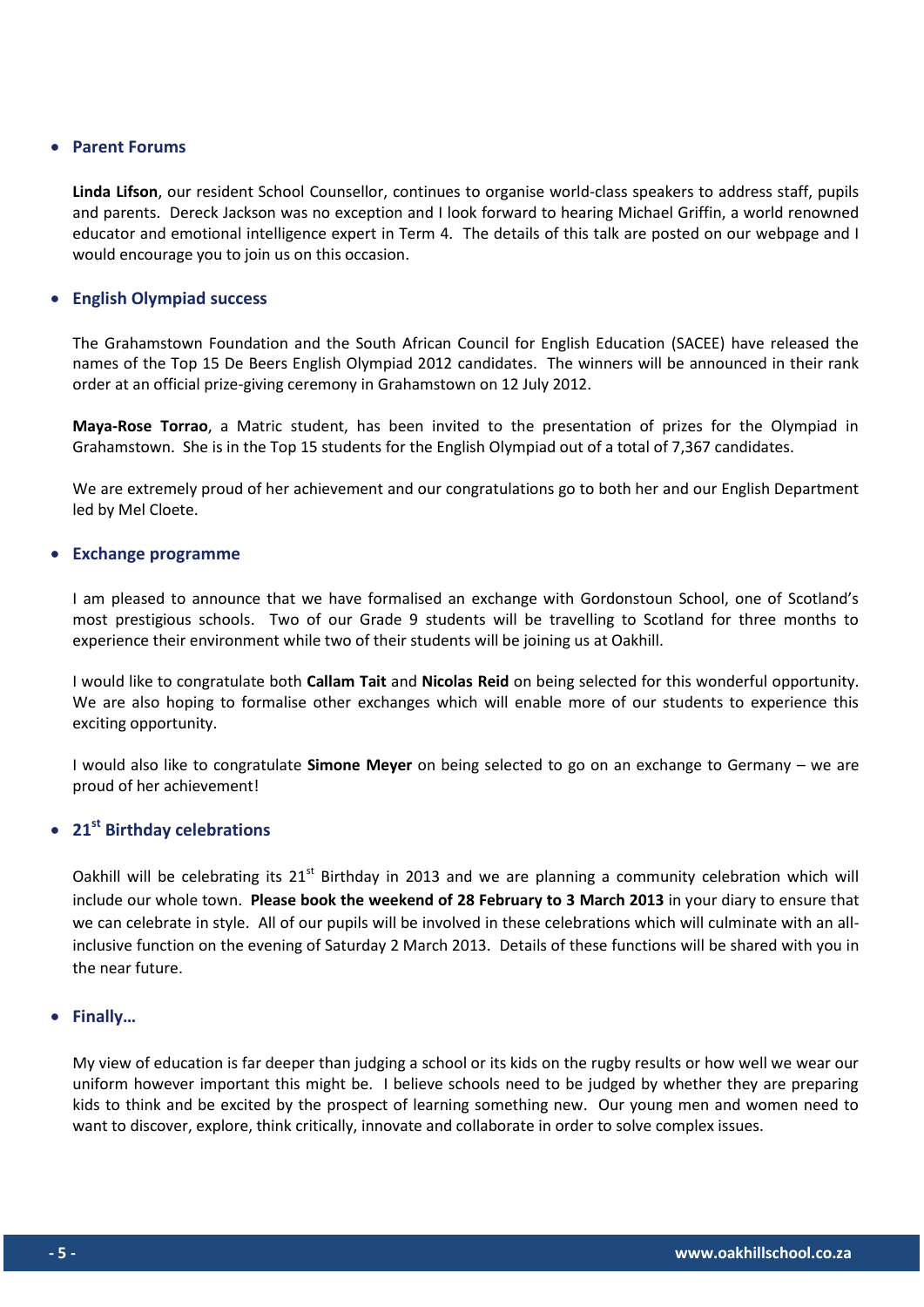### **Parent Forums**

**Linda Lifson**, our resident School Counsellor, continues to organise world-class speakers to address staff, pupils and parents. Dereck Jackson was no exception and I look forward to hearing Michael Griffin, a world renowned educator and emotional intelligence expert in Term 4. The details of this talk are posted on our webpage and I would encourage you to join us on this occasion.

### **English Olympiad success**

The Grahamstown Foundation and the South African Council for English Education (SACEE) have released the names of the Top 15 De Beers English Olympiad 2012 candidates. The winners will be announced in their rank order at an official prize-giving ceremony in Grahamstown on 12 July 2012.

**Maya-Rose Torrao**, a Matric student, has been invited to the presentation of prizes for the Olympiad in Grahamstown. She is in the Top 15 students for the English Olympiad out of a total of 7,367 candidates.

We are extremely proud of her achievement and our congratulations go to both her and our English Department led by Mel Cloete.

### **Exchange programme**

I am pleased to announce that we have formalised an exchange with Gordonstoun School, one of Scotland's most prestigious schools. Two of our Grade 9 students will be travelling to Scotland for three months to experience their environment while two of their students will be joining us at Oakhill.

I would like to congratulate both **Callam Tait** and **Nicolas Reid** on being selected for this wonderful opportunity. We are also hoping to formalise other exchanges which will enable more of our students to experience this exciting opportunity.

I would also like to congratulate **Simone Meyer** on being selected to go on an exchange to Germany – we are proud of her achievement!

# **21st Birthday celebrations**

Oakhill will be celebrating its 21<sup>st</sup> Birthday in 2013 and we are planning a community celebration which will include our whole town. **Please book the weekend of 28 February to 3 March 2013** in your diary to ensure that we can celebrate in style. All of our pupils will be involved in these celebrations which will culminate with an allinclusive function on the evening of Saturday 2 March 2013. Details of these functions will be shared with you in the near future.

#### **Finally…**

My view of education is far deeper than judging a school or its kids on the rugby results or how well we wear our uniform however important this might be. I believe schools need to be judged by whether they are preparing kids to think and be excited by the prospect of learning something new. Our young men and women need to want to discover, explore, think critically, innovate and collaborate in order to solve complex issues.